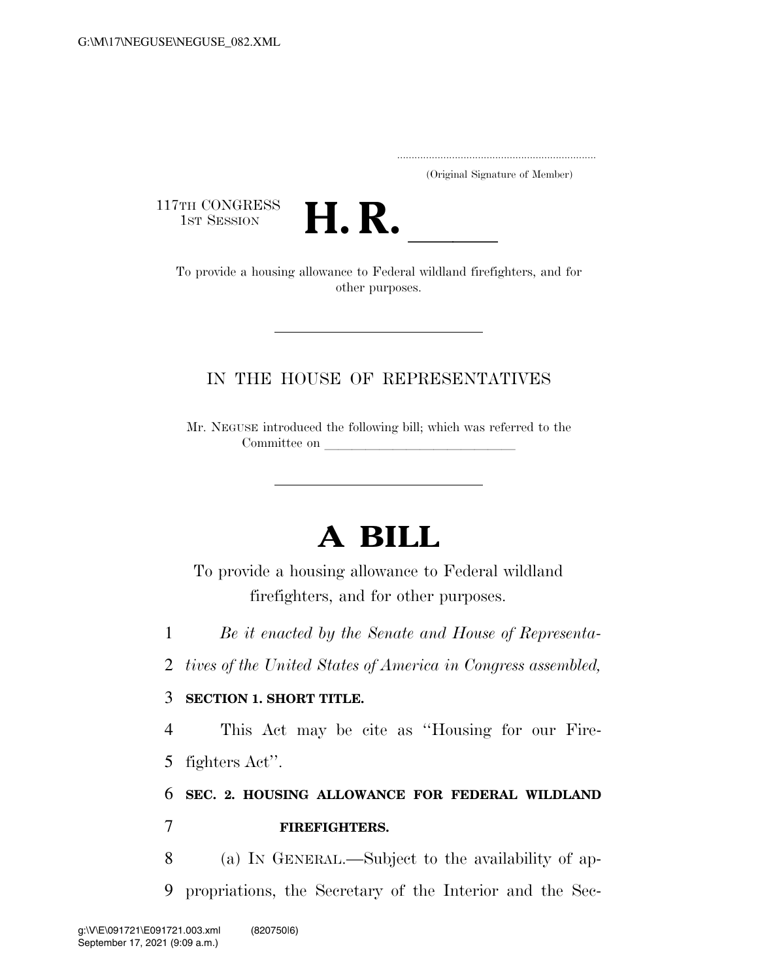..................................................................... (Original Signature of Member)

117TH CONGRESS<br>1st Session



TH CONGRESS<br>1st SESSION **H. R.** <u>Internative of Federal wildland firefighters, and for</u><br>To provide a housing allowance to Federal wildland firefighters, and for other purposes.

## IN THE HOUSE OF REPRESENTATIVES

Mr. NEGUSE introduced the following bill; which was referred to the Committee on

## **A BILL**

To provide a housing allowance to Federal wildland firefighters, and for other purposes.

1 *Be it enacted by the Senate and House of Representa-*

2 *tives of the United States of America in Congress assembled,* 

## 3 **SECTION 1. SHORT TITLE.**

4 This Act may be cite as ''Housing for our Fire-

5 fighters Act''.

## 6 **SEC. 2. HOUSING ALLOWANCE FOR FEDERAL WILDLAND**  7 **FIREFIGHTERS.**

8 (a) IN GENERAL.—Subject to the availability of ap-9 propriations, the Secretary of the Interior and the Sec